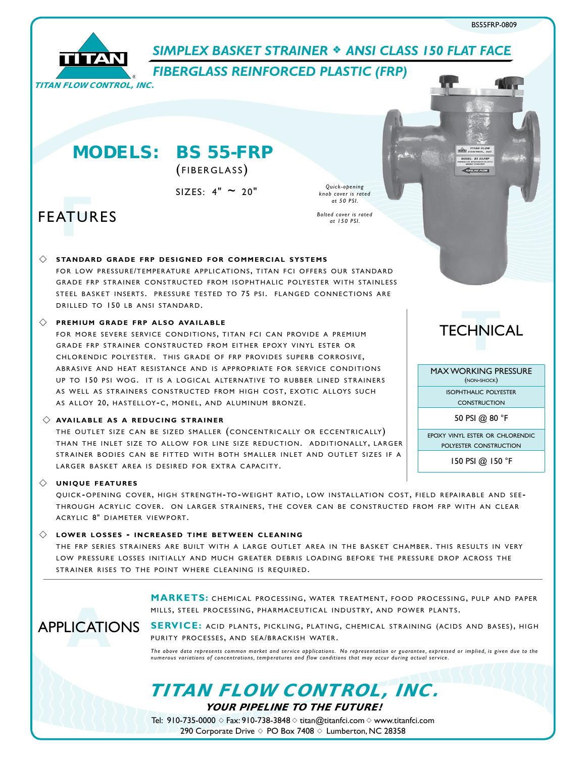

# **SIMPLEX BASKET STRAINER**  $*$  **ANSI CLASS 150 FLAT FACE**

*Quick-opening knob cover is rated at 50 PSI. Bolted cover is rated at 150 PSI.*

*FIBERGLASS REINFORCED PLASTIC (FRP)*

MODELS: BS 55-FRP

(FIBERGLASS)

 $SIZES: 4" \sim 20"$ 

# **FEATURES**

#### $\diamondsuit$  standard grade frp designed for commercial systems

FOR LOW PRESSURE/TEMPERATURE APPLICATIONS, TITAN FCI OFFERS OUR STANDARD GRADE FRP STRAINER CONSTRUCTED FROM ISOPHTHALIC POLYESTER WITH STAINLESS STEEL BASKET INSERTS. PRESSURE TESTED TO 75 PSI. FLANGED CONNECTIONS ARE DRILLED TO 150 LB ANSI STANDARD.

#### $\Diamond$  **PREMIUM GRADE FRP ALSO AVAILABLE**

FOR MORE SEVERE SERVICE CONDITIONS, TITAN FCI CAN PROVIDE A PREMIUM GRADE FRP STRAINER CONSTRUCTED FROM EITHER EPOXY VINYL ESTER OR CHLORENDIC POLYESTER. THIS GRADE OF FRP PROVIDES SUPERB CORROSIVE. ABRASIVE AND HEAT RESISTANCE AND IS APPROPRIATE FOR SERVICE CONDITIONS UP TO 150 PSI WOG. IT IS A LOGICAL ALTERNATIVE TO RUBBER LINED STRAINERS AS WELL AS STRAINERS CONSTRUCTED FROM HIGH COST, EXOTIC ALLOYS SUCH AS ALLOY 20, HASTELLOY-C, MONEL, AND ALUMINUM BRONZE.

#### $\diamondsuit$  AVAILABLE AS A REDUCING STRAINER

THE OUTLET SIZE CAN BE SIZED SMALLER (CONCENTRICALLY OR ECCENTRICALLY) THAN THE INLET SIZE TO ALLOW FOR LINE SIZE REDUCTION. ADDITIONALLY, LARGER STRAINER BODIES CAN BE FITTED WITH BOTH SMALLER INLET AND OUTLET SIZES IF A LARGER BASKET AREA IS DESIRED FOR EXTRA CAPACITY.

#### $\Diamond$  UNIQUE FEATURES

QUICK-OPENING COVER, HIGH STRENGTH-TO-WEIGHT RATIO, LOW INSTALLATION COST, FIELD REPAIRABLE AND SEE-THROUGH ACRYLIC COVER. ON LARGER STRAINERS, THE COVER CAN BE CONSTRUCTED FROM FRP WITH AN CLEAR ACRYLIC 8" DIAMETER VIEWPORT.

#### $\diamondsuit$  LOWER LOSSES - INCREASED TIME BETWEEN CLEANING

THE FRP SERIES STRAINERS ARE BUILT WITH A LARGE OUTLET AREA IN THE BASKET CHAMBER. THIS RESULTS IN VERY LOW PRESSURE LOSSES INITIALLY AND MUCH GREATER DEBRIS LOADING BEFORE THE PRESSURE DROP ACROSS THE STRAINER RISES TO THE POINT WHERE CLEANING IS REOUIRED.

> MARKETS: CHEMICAL PROCESSING, WATER TREATMENT, FOOD PROCESSING, PULP AND PAPER MILLS, STEEL PROCESSING, PHARMACEUTICAL INDUSTRY, AND POWER PLANTS.

APPLICATIONS **A**

SERVICE: ACID PLANTS, PICKLING, PLATING, CHEMICAL STRAINING (ACIDS AND BASES), HIGH PURITY PROCESSES, AND SEA/BRACKISH WATER.

*The above data represents common market and service applications. No representation or guarantee, expressed or implied, is given due to the numerous variations of concentrations, temperatures and flow conditions that may occur during actual service.*

TITAN FLOW CONTROL, INC.

YOUR PIPELINE TO THE FUTURE!

Tel: 910-735-0000  $\Diamond$  Fax: 910-738-3848  $\Diamond$  titan@titanfci.com  $\Diamond$  www.titanfci.com 290 Corporate Drive  $\diamond$  PO Box 7408  $\diamond$  Lumberton, NC 28358



**VIEW CONTROL INC. BS 55-FRS PIPELINE FLOW** 

MAXWORKING PRESSURE (non-shock) isophthalic polyester **CONSTRUCTION** 

50 PSI @ 80 °F

epoxy vinyl ester or chlorendic polyester construction

150 PSI @ 150 °F